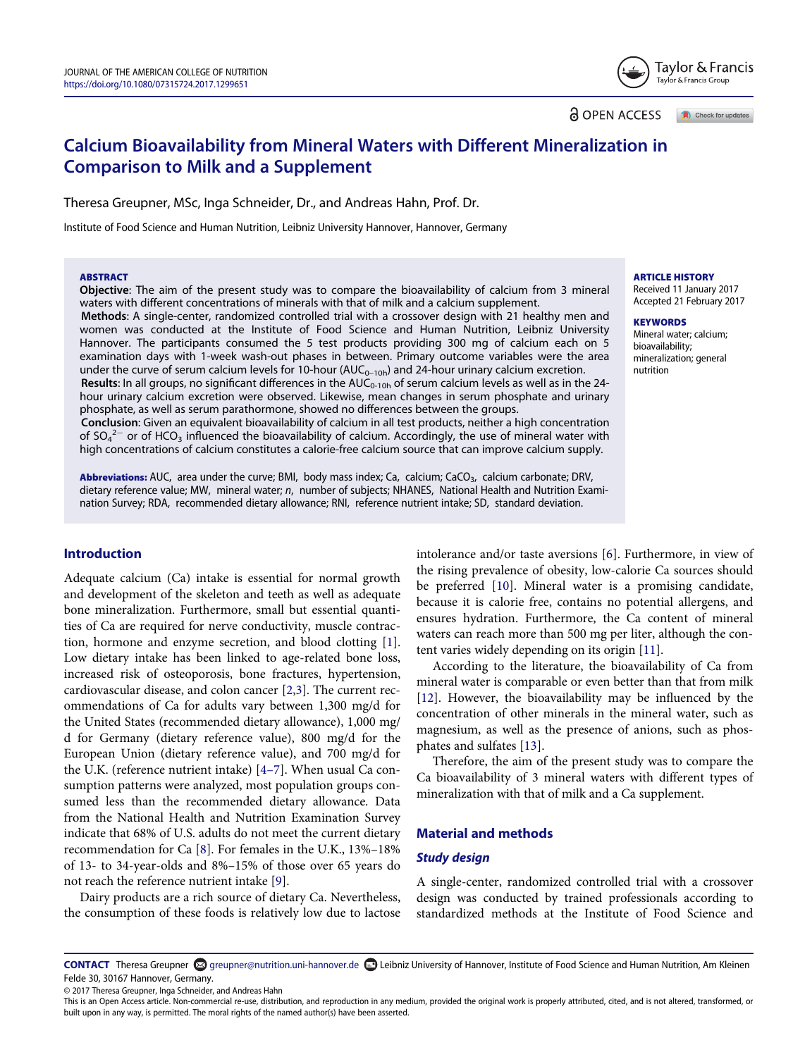Taylor & Francis Taylor & Francis Group

**a** OPEN ACCESS Check for updates

# Calcium Bioavailability from Mineral Waters with Different Mineralization in Comparison to Milk and a Supplement

Theresa Greupner, MSc, Inga Schneider, Dr., and Andreas Hahn, Prof. Dr.

Institute of Food Science and Human Nutrition, Leibniz University Hannover, Hannover, Germany

#### **ARSTRACT**

Objective: The aim of the present study was to compare the bioavailability of calcium from 3 mineral waters with different concentrations of minerals with that of milk and a calcium supplement.

**ARTICLE HISTORY** Received 11 January 2017 Accepted 21 February 2017 **KEYWORDS** 

Mineral water; calcium; bioavailability; mineralization; general nutrition

Methods: A single-center, randomized controlled trial with a crossover design with 21 healthy men and women was conducted at the Institute of Food Science and Human Nutrition, Leibniz University Hannover. The participants consumed the 5 test products providing 300 mg of calcium each on 5 examination days with 1-week wash-out phases in between. Primary outcome variables were the area under the curve of serum calcium levels for 10-hour  $(AUC_{0-10h})$  and 24-hour urinary calcium excretion. Results: In all groups, no significant differences in the  $AUC_{0-10h}$  of serum calcium levels as well as in the 24hour urinary calcium excretion were observed. Likewise, mean changes in serum phosphate and urinary phosphate, as well as serum parathormone, showed no differences between the groups. Conclusion: Given an equivalent bioavailability of calcium in all test products, neither a high concentration

of SO<sub>4</sub><sup>2–</sup> or of HCO<sub>3</sub> influenced the bioavailability of calcium. Accordingly, the use of mineral water with high concentrations of calcium constitutes a calorie-free calcium source that can improve calcium supply.

Abbreviations: AUC, area under the curve; BMI, body mass index; Ca, calcium; CaCO<sub>3</sub>, calcium carbonate; DRV, dietary reference value; MW, mineral water; n, number of subjects; NHANES, National Health and Nutrition Examination Survey; RDA, recommended dietary allowance; RNI, reference nutrient intake; SD, standard deviation.

# Introduction

Adequate calcium (Ca) intake is essential for normal growth and development of the skeleton and teeth as well as adequate bone mineralization. Furthermore, small but essential quantities of Ca are required for nerve conductivity, muscle contraction, hormone and enzyme secretion, and blood clotting [[1](#page-4-0)]. Low dietary intake has been linked to age-related bone loss, increased risk of osteoporosis, bone fractures, hypertension, cardiovascular disease, and colon cancer [[2](#page-4-1)[,3](#page-4-2)]. The current recommendations of Ca for adults vary between 1,300 mg/d for the United States (recommended dietary allowance), 1,000 mg/ d for Germany (dietary reference value), 800 mg/d for the European Union (dietary reference value), and 700 mg/d for the U.K. (reference nutrient intake) [4[–](#page-4-3)7]. When usual Ca consumption patterns were analyzed, most population groups consumed less than the recommended dietary allowance. Data from the National Health and Nutrition Examination Survey indicate that 68% of U.S. adults do not meet the current dietary recommendation for Ca [[8\]](#page-4-4). For females in the U.K., 13%–18% of 13- to 34-year-olds and 8%–15% of those over 65 years do not reach the reference nutrient intake [\[9](#page-4-5)].

Dairy products are a rich source of dietary Ca. Nevertheless, the consumption of these foods is relatively low due to lactose intolerance and/or taste aversions [\[6\]](#page-4-6). Furthermore, in view of the rising prevalence of obesity, low-calorie Ca sources should be preferred [[10](#page-4-7)]. Mineral water is a promising candidate, because it is calorie free, contains no potential allergens, and ensures hydration. Furthermore, the Ca content of mineral waters can reach more than 500 mg per liter, although the content varies widely depending on its origin [[11](#page-4-8)].

According to the literature, the bioavailability of Ca from mineral water is comparable or even better than that from milk [\[12\]](#page-4-9). However, the bioavailability may be influenced by the concentration of other minerals in the mineral water, such as magnesium, as well as the presence of anions, such as phosphates and sulfates [[13](#page-4-10)].

Therefore, the aim of the present study was to compare the Ca bioavailability of 3 mineral waters with different types of mineralization with that of milk and a Ca supplement.

#### Material and methods

## Study design

A single-center, randomized controlled trial with a crossover design was conducted by trained professionals according to standardized methods at the Institute of Food Science and

CONTACT Theresa Greupner **۞** [greupner@nutrition.uni-hannover.de](mailto:greupner@nutrition.uni-hannover.de) **D** Leibniz University of Hannover, Institute of Food Science and Human Nutrition, Am Kleinen Felde 30, 30167 Hannover, Germany.

© 2017 Theresa Greupner, Inga Schneider, and Andreas Hahn

This is an Open Access article. Non-commercial re-use, distribution, and reproduction in any medium, provided the original work is properly attributed, cited, and is not altered, transformed, or built upon in any way, is permitted. The moral rights of the named author(s) have been asserted.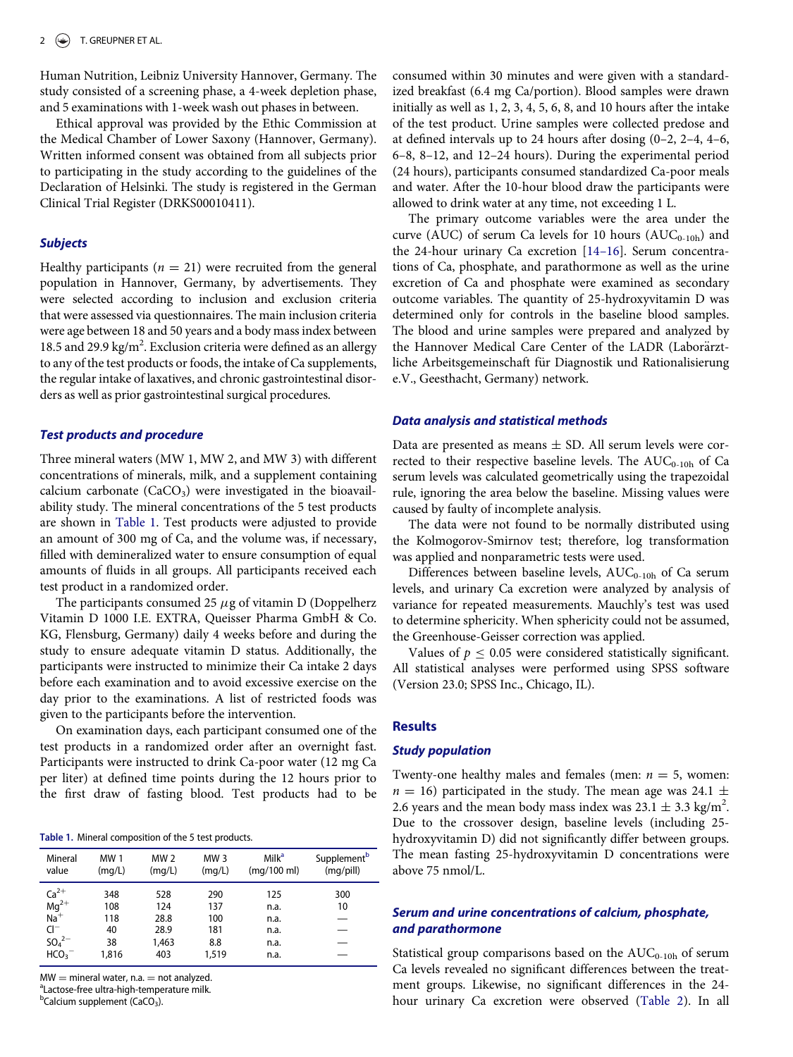Human Nutrition, Leibniz University Hannover, Germany. The study consisted of a screening phase, a 4-week depletion phase, and 5 examinations with 1-week wash out phases in between.

Ethical approval was provided by the Ethic Commission at the Medical Chamber of Lower Saxony (Hannover, Germany). Written informed consent was obtained from all subjects prior to participating in the study according to the guidelines of the Declaration of Helsinki. The study is registered in the German Clinical Trial Register (DRKS00010411).

#### **Subjects**

Healthy participants ( $n = 21$ ) were recruited from the general population in Hannover, Germany, by advertisements. They were selected according to inclusion and exclusion criteria that were assessed via questionnaires. The main inclusion criteria were age between 18 and 50 years and a body mass index between 18.5 and 29.9 kg/m<sup>2</sup>. Exclusion criteria were defined as an allergy to any of the test products or foods, the intake of Ca supplements, the regular intake of laxatives, and chronic gastrointestinal disorders as well as prior gastrointestinal surgical procedures.

#### Test products and procedure

Three mineral waters (MW 1, MW 2, and MW 3) with different concentrations of minerals, milk, and a supplement containing calcium carbonate  $(CaCO<sub>3</sub>)$  were investigated in the bioavailability study. The mineral concentrations of the 5 test products are shown in [Table 1.](#page-1-0) Test products were adjusted to provide an amount of 300 mg of Ca, and the volume was, if necessary, filled with demineralized water to ensure consumption of equal amounts of fluids in all groups. All participants received each test product in a randomized order.

The participants consumed 25  $\mu$ g of vitamin D (Doppelherz Vitamin D 1000 I.E. EXTRA, Queisser Pharma GmbH & Co. KG, Flensburg, Germany) daily 4 weeks before and during the study to ensure adequate vitamin D status. Additionally, the participants were instructed to minimize their Ca intake 2 days before each examination and to avoid excessive exercise on the day prior to the examinations. A list of restricted foods was given to the participants before the intervention.

On examination days, each participant consumed one of the test products in a randomized order after an overnight fast. Participants were instructed to drink Ca-poor water (12 mg Ca per liter) at defined time points during the 12 hours prior to the first draw of fasting blood. Test products had to be

Table 1. Mineral composition of the 5 test products.

| Mineral                                                                                | <b>MW1</b>                             | MW <sub>2</sub>                            | MW <sub>3</sub>                          | Milk <sup>a</sup>                           | Supplement <sup>b</sup> |
|----------------------------------------------------------------------------------------|----------------------------------------|--------------------------------------------|------------------------------------------|---------------------------------------------|-------------------------|
| value                                                                                  | (mq/L)                                 | (mq/L)                                     | (mq/L)                                   | (mq/100 ml)                                 | (mq/pill)               |
| $Ca^{2+}$<br>$Mg^{2+}$<br>Na <sup>+</sup><br>$Cl^-$<br>$SO_4^{2-}$<br>HCO <sub>3</sub> | 348<br>108<br>118<br>40<br>38<br>1,816 | 528<br>124<br>28.8<br>28.9<br>1,463<br>403 | 290<br>137<br>100<br>181<br>8.8<br>1,519 | 125<br>n.a.<br>n.a.<br>n.a.<br>n.a.<br>n.a. | 300<br>10               |

<span id="page-1-0"></span> $MW = mineral water, n.a. = not analyzed.$ 

<span id="page-1-1"></span><sup>a</sup> Lactose-free ultra-high-temperature milk.

<span id="page-1-2"></span><sup>b</sup>Calcium supplement (CaCO<sub>3</sub>).

consumed within 30 minutes and were given with a standardized breakfast (6.4 mg Ca/portion). Blood samples were drawn initially as well as 1, 2, 3, 4, 5, 6, 8, and 10 hours after the intake of the test product. Urine samples were collected predose and at defined intervals up to 24 hours after dosing (0–2, 2–4, 4–6, 6–8, 8–12, and 12–24 hours). During the experimental period (24 hours), participants consumed standardized Ca-poor meals and water. After the 10-hour blood draw the participants were allowed to drink water at any time, not exceeding 1 L.

The primary outcome variables were the area under the curve (AUC) of serum Ca levels for 10 hours ( $AUC_{0-10h}$ ) and the 24-hour urinary Ca excretion [14–[16\]](#page-4-11). Serum concentrations of Ca, phosphate, and parathormone as well as the urine excretion of Ca and phosphate were examined as secondary outcome variables. The quantity of 25-hydroxyvitamin D was determined only for controls in the baseline blood samples. The blood and urine samples were prepared and analyzed by the Hannover Medical Care Center of the LADR (Laborärztliche Arbeitsgemeinschaft für Diagnostik und Rationalisierung e.V., Geesthacht, Germany) network.

#### Data analysis and statistical methods

Data are presented as means  $\pm$  SD. All serum levels were corrected to their respective baseline levels. The  $AUC_{0-10h}$  of Ca serum levels was calculated geometrically using the trapezoidal rule, ignoring the area below the baseline. Missing values were caused by faulty of incomplete analysis.

The data were not found to be normally distributed using the Kolmogorov-Smirnov test; therefore, log transformation was applied and nonparametric tests were used.

Differences between baseline levels,  $AUC_{0-10h}$  of Ca serum levels, and urinary Ca excretion were analyzed by analysis of variance for repeated measurements. Mauchly's test was used to determine sphericity. When sphericity could not be assumed, the Greenhouse-Geisser correction was applied.

Values of  $p \leq 0.05$  were considered statistically significant. All statistical analyses were performed using SPSS software (Version 23.0; SPSS Inc., Chicago, IL).

#### Results

#### Study population

Twenty-one healthy males and females (men:  $n = 5$ , women:  $n = 16$ ) participated in the study. The mean age was 24.1  $\pm$ 2.6 years and the mean body mass index was  $23.1 \pm 3.3$  kg/m<sup>2</sup>. Due to the crossover design, baseline levels (including 25 hydroxyvitamin D) did not significantly differ between groups. The mean fasting 25-hydroxyvitamin D concentrations were above 75 nmol/L.

## Serum and urine concentrations of calcium, phosphate, and parathormone

Statistical group comparisons based on the  $AUC_{0-10h}$  of serum Ca levels revealed no significant differences between the treatment groups. Likewise, no significant differences in the 24 hour urinary Ca excretion were observed ([Table 2\)](#page-2-0). In all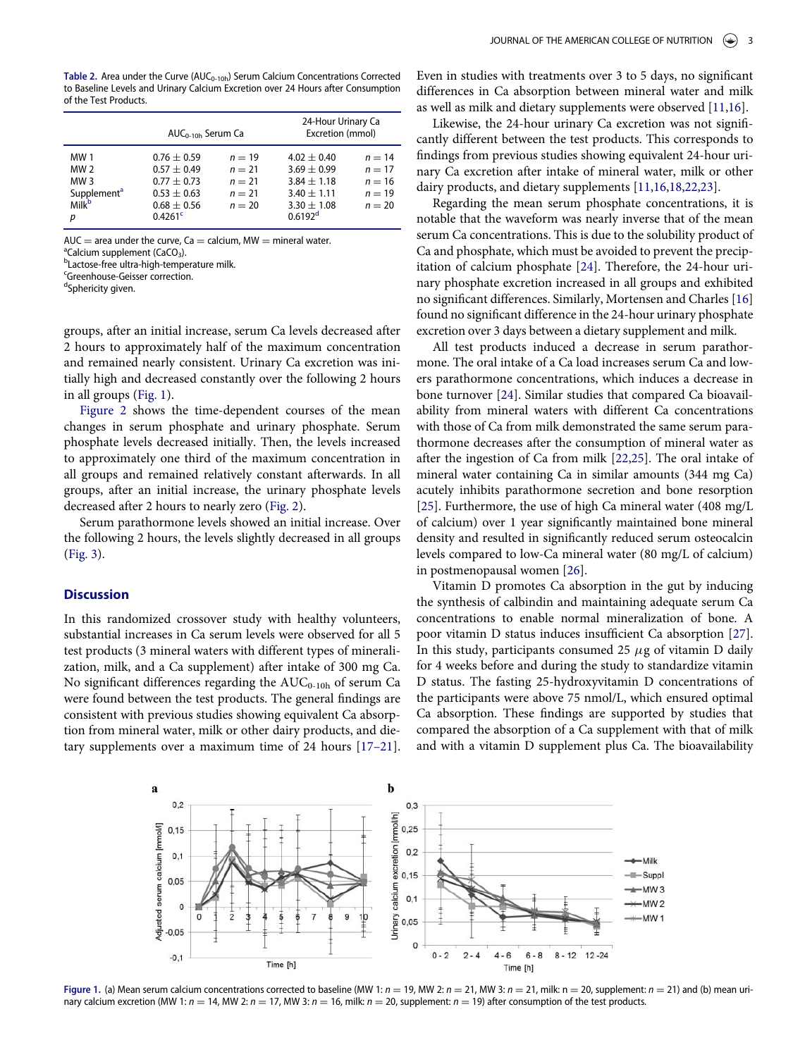|                                                                                             | $AUC_{0-10h}$ Serum Ca                                                                                    |                                                          | 24-Hour Urinary Ca<br>Excretion (mmol)                                                          |                                                          |  |
|---------------------------------------------------------------------------------------------|-----------------------------------------------------------------------------------------------------------|----------------------------------------------------------|-------------------------------------------------------------------------------------------------|----------------------------------------------------------|--|
| MW 1<br><b>MW 2</b><br>MW <sub>3</sub><br>Supplement <sup>a</sup><br>Milk <sup>b</sup><br>р | $0.76 \pm 0.59$<br>$0.57 + 0.49$<br>$0.77 + 0.73$<br>$0.53 \pm 0.63$<br>$0.68 + 0.56$<br>$0.4261^{\circ}$ | $n = 19$<br>$n = 21$<br>$n = 21$<br>$n = 21$<br>$n = 20$ | $4.02 + 0.40$<br>$3.69 + 0.99$<br>$3.84 + 1.18$<br>$3.40 + 1.11$<br>$3.30 + 1.08$<br>$0.6192^d$ | $n = 14$<br>$n = 17$<br>$n = 16$<br>$n = 19$<br>$n = 20$ |  |

<span id="page-2-0"></span>AUC  $=$  area under the curve, Ca  $=$  calcium, MW  $=$  mineral water.

<span id="page-2-2"></span> $\alpha$ <sup>a</sup>Calcium supplement (CaCO<sub>3</sub>).

<span id="page-2-3"></span>**bLactose-free ultra-high-temperature milk.** 

<span id="page-2-4"></span>c Greenhouse-Geisser correction.

<span id="page-2-5"></span><sup>d</sup>Sphericity given.

groups, after an initial increase, serum Ca levels decreased after 2 hours to approximately half of the maximum concentration and remained nearly consistent. Urinary Ca excretion was initially high and decreased constantly over the following 2 hours in all groups [\(Fig. 1\)](#page-2-1).

[Figure 2](#page-3-0) shows the time-dependent courses of the mean changes in serum phosphate and urinary phosphate. Serum phosphate levels decreased initially. Then, the levels increased to approximately one third of the maximum concentration in all groups and remained relatively constant afterwards. In all groups, after an initial increase, the urinary phosphate levels decreased after 2 hours to nearly zero ([Fig. 2\)](#page-3-0).

Serum parathormone levels showed an initial increase. Over the following 2 hours, the levels slightly decreased in all groups [\(Fig. 3\)](#page-3-1).

## **Discussion**

In this randomized crossover study with healthy volunteers, substantial increases in Ca serum levels were observed for all 5 test products (3 mineral waters with different types of mineralization, milk, and a Ca supplement) after intake of 300 mg Ca. No significant differences regarding the  $AUC_{0-10h}$  of serum Ca were found between the test products. The general findings are consistent with previous studies showing equivalent Ca absorption from mineral water, milk or other dairy products, and dietary supplements over a maximum time of 24 hours [\[17](#page-4-12)–21].

Even in studies with treatments over 3 to 5 days, no significant differences in Ca absorption between mineral water and milk as well as milk and dietary supplements were observed [[11](#page-4-8)[,16](#page-4-13)].

Likewise, the 24-hour urinary Ca excretion was not significantly different between the test products. This corresponds to findings from previous studies showing equivalent 24-hour urinary Ca excretion after intake of mineral water, milk or other dairy products, and dietary supplements [[11](#page-4-8)[,16](#page-4-13)[,18,](#page-4-14)[22,](#page-4-15)[23](#page-4-16)].

Regarding the mean serum phosphate concentrations, it is notable that the waveform was nearly inverse that of the mean serum Ca concentrations. This is due to the solubility product of Ca and phosphate, which must be avoided to prevent the precipitation of calcium phosphate [[24](#page-4-17)]. Therefore, the 24-hour urinary phosphate excretion increased in all groups and exhibited no significant differences. Similarly, Mortensen and Charles [\[16\]](#page-4-13) found no significant difference in the 24-hour urinary phosphate excretion over 3 days between a dietary supplement and milk.

All test products induced a decrease in serum parathormone. The oral intake of a Ca load increases serum Ca and lowers parathormone concentrations, which induces a decrease in bone turnover [\[24\]](#page-4-17). Similar studies that compared Ca bioavailability from mineral waters with different Ca concentrations with those of Ca from milk demonstrated the same serum parathormone decreases after the consumption of mineral water as after the ingestion of Ca from milk [\[22,](#page-4-15)[25](#page-4-18)]. The oral intake of mineral water containing Ca in similar amounts (344 mg Ca) acutely inhibits parathormone secretion and bone resorption [\[25\]](#page-4-18). Furthermore, the use of high Ca mineral water (408 mg/L of calcium) over 1 year significantly maintained bone mineral density and resulted in significantly reduced serum osteocalcin levels compared to low-Ca mineral water (80 mg/L of calcium) in postmenopausal women [[26](#page-4-19)].

Vitamin D promotes Ca absorption in the gut by inducing the synthesis of calbindin and maintaining adequate serum Ca concentrations to enable normal mineralization of bone. A poor vitamin D status induces insufficient Ca absorption [[27\]](#page-4-20). In this study, participants consumed 25  $\mu$ g of vitamin D daily for 4 weeks before and during the study to standardize vitamin D status. The fasting 25-hydroxyvitamin D concentrations of the participants were above 75 nmol/L, which ensured optimal Ca absorption. These findings are supported by studies that compared the absorption of a Ca supplement with that of milk and with a vitamin D supplement plus Ca. The bioavailability

<span id="page-2-1"></span>

Figure 1. (a) Mean serum calcium concentrations corrected to baseline (MW 1:  $n = 19$ , MW 2:  $n = 21$ , MW 3:  $n = 21$ , milk: n = 20, supplement:  $n = 21$ ) and (b) mean urinary calcium excretion (MW 1:  $n = 14$ , MW 2:  $n = 17$ , MW 3:  $n = 16$ , milk:  $n = 20$ , supplement:  $n = 19$ ) after consumption of the test products.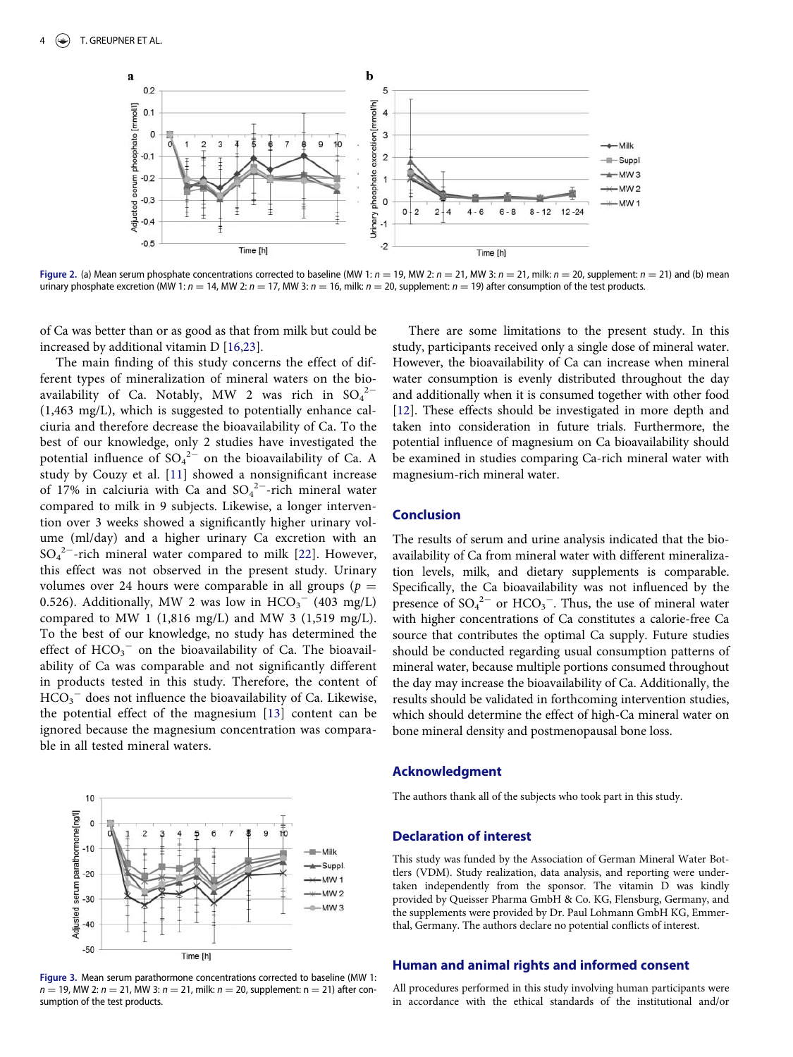<span id="page-3-0"></span>

Figure 2. (a) Mean serum phosphate concentrations corrected to baseline (MW 1:  $n = 19$ , MW 2:  $n = 21$ , MW 3:  $n = 21$ , milk:  $n = 20$ , supplement:  $n = 21$ ) and (b) mean urinary phosphate excretion (MW 1:  $n = 14$ , MW 2:  $n = 17$ , MW 3:  $n = 16$ , milk:  $n = 20$ , supplement:  $n = 19$ ) after consumption of the test products.

of Ca was better than or as good as that from milk but could be increased by additional vitamin D [\[16](#page-4-13)[,23\]](#page-4-16).

The main finding of this study concerns the effect of different types of mineralization of mineral waters on the bioavailability of Ca. Notably, MW 2 was rich in  ${SO_4}^{2-}$ (1,463 mg/L), which is suggested to potentially enhance calciuria and therefore decrease the bioavailability of Ca. To the best of our knowledge, only 2 studies have investigated the potential influence of  $SO_4^2$ <sup>2</sup> on the bioavailability of Ca. A study by Couzy et al. [\[11](#page-4-8)] showed a nonsignificant increase of 17% in calciuria with Ca and  $SO_4^2$ -rich mineral water compared to milk in 9 subjects. Likewise, a longer intervention over 3 weeks showed a significantly higher urinary volume (ml/day) and a higher urinary Ca excretion with an  $SO_4^2$ <sup>-</sup>-rich mineral water compared to milk [[22](#page-4-15)]. However, this effect was not observed in the present study. Urinary volumes over 24 hours were comparable in all groups ( $p =$ 0.526). Additionally, MW 2 was low in  $\text{HCO}_3^-$  (403 mg/L) compared to MW 1 (1,816 mg/L) and MW 3 (1,519 mg/L). To the best of our knowledge, no study has determined the effect of  $HCO_3^-$  on the bioavailability of Ca. The bioavailability of Ca was comparable and not significantly different in products tested in this study. Therefore, the content of  $\overline{HCO_3}^-$  does not influence the bioavailability of Ca. Likewise, the potential effect of the magnesium [\[13](#page-4-10)] content can be ignored because the magnesium concentration was comparable in all tested mineral waters.

<span id="page-3-1"></span>

Figure 3. Mean serum parathormone concentrations corrected to baseline (MW 1:  $n = 19$ , MW 2:  $n = 21$ , MW 3:  $n = 21$ , milk:  $n = 20$ , supplement: n = 21) after consumption of the test products.

There are some limitations to the present study. In this study, participants received only a single dose of mineral water. However, the bioavailability of Ca can increase when mineral water consumption is evenly distributed throughout the day and additionally when it is consumed together with other food [\[12](#page-4-9)]. These effects should be investigated in more depth and taken into consideration in future trials. Furthermore, the potential influence of magnesium on Ca bioavailability should be examined in studies comparing Ca-rich mineral water with magnesium-rich mineral water.

## Conclusion

The results of serum and urine analysis indicated that the bioavailability of Ca from mineral water with different mineralization levels, milk, and dietary supplements is comparable. Specifically, the Ca bioavailability was not influenced by the presence of  $SO_4^2$ <sup>-</sup> or  $HCO_3$ <sup>-</sup>. Thus, the use of mineral water with higher concentrations of Ca constitutes a calorie-free Ca source that contributes the optimal Ca supply. Future studies should be conducted regarding usual consumption patterns of mineral water, because multiple portions consumed throughout the day may increase the bioavailability of Ca. Additionally, the results should be validated in forthcoming intervention studies, which should determine the effect of high-Ca mineral water on bone mineral density and postmenopausal bone loss.

#### Acknowledgment

The authors thank all of the subjects who took part in this study.

#### Declaration of interest

This study was funded by the Association of German Mineral Water Bottlers (VDM). Study realization, data analysis, and reporting were undertaken independently from the sponsor. The vitamin D was kindly provided by Queisser Pharma GmbH & Co. KG, Flensburg, Germany, and the supplements were provided by Dr. Paul Lohmann GmbH KG, Emmerthal, Germany. The authors declare no potential conflicts of interest.

## Human and animal rights and informed consent

All procedures performed in this study involving human participants were in accordance with the ethical standards of the institutional and/or